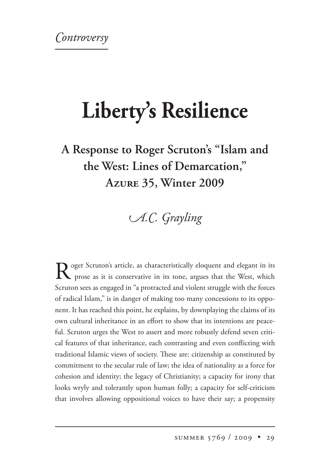## **Liberty's Resilience**

**A Response to Roger Scruton's "Islam and the West: Lines of Demarcation," A 35, Winter 2009** 

*A.C. Grayling* 

Roger Scruton's article, as characteristically eloquent and elegant in its prose as it is conservative in its tone, argues that the West, which Scruton sees as engaged in "a protracted and violent struggle with the forces of radical Islam," is in danger of making too many concessions to its opponent. It has reached this point, he explains, by downplaying the claims of its own cultural inheritance in an effort to show that its intentions are peaceful. Scruton urges the West to assert and more robustly defend seven critical features of that inheritance, each contrasting and even conflicting with traditional Islamic views of society. These are: citizenship as constituted by commitment to the secular rule of law; the idea of nationality as a force for cohesion and identity; the legacy of Christianity; a capacity for irony that looks wryly and tolerantly upon human folly; a capacity for self-criticism that involves allowing oppositional voices to have their say; a propensity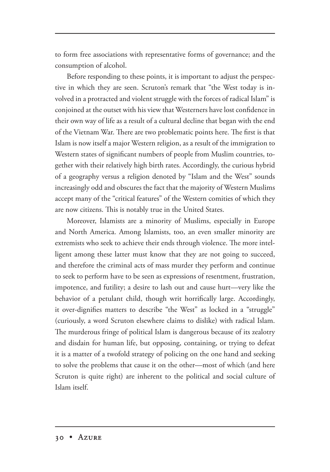to form free associations with representative forms of governance; and the consumption of alcohol.

Before responding to these points, it is important to adjust the perspective in which they are seen. Scruton's remark that "the West today is involved in a protracted and violent struggle with the forces of radical Islam" is conjoined at the outset with his view that Westerners have lost confidence in their own way of life as a result of a cultural decline that began with the end of the Vietnam War. There are two problematic points here. The first is that Islam is now itself a major Western religion, as a result of the immigration to Western states of significant numbers of people from Muslim countries, together with their relatively high birth rates. Accordingly, the curious hybrid of a geography versus a religion denoted by "Islam and the West" sounds increasingly odd and obscures the fact that the majority of Western Muslims accept many of the "critical features" of the Western comities of which they are now citizens. This is notably true in the United States.

Moreover, Islamists are a minority of Muslims, especially in Europe and North America. Among Islamists, too, an even smaller minority are extremists who seek to achieve their ends through violence. The more intelligent among these latter must know that they are not going to succeed, and therefore the criminal acts of mass murder they perform and continue to seek to perform have to be seen as expressions of resentment, frustration, impotence, and futility; a desire to lash out and cause hurt—very like the behavior of a petulant child, though writ horrifically large. Accordingly, it over-dignifies matters to describe "the West" as locked in a "struggle" (curiously, a word Scruton elsewhere claims to dislike) with radical Islam. The murderous fringe of political Islam is dangerous because of its zealotry and disdain for human life, but opposing, containing, or trying to defeat it is a matter of a twofold strategy of policing on the one hand and seeking to solve the problems that cause it on the other—most of which (and here Scruton is quite right) are inherent to the political and social culture of Islam itself.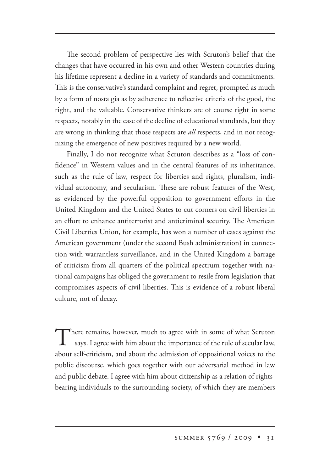The second problem of perspective lies with Scruton's belief that the changes that have occurred in his own and other Western countries during his lifetime represent a decline in a variety of standards and commitments. This is the conservative's standard complaint and regret, prompted as much by a form of nostalgia as by adherence to reflective criteria of the good, the right, and the valuable. Conservative thinkers are of course right in some respects, notably in the case of the decline of educational standards, but they are wrong in thinking that those respects are *all* respects, and in not recognizing the emergence of new positives required by a new world.

Finally, I do not recognize what Scruton describes as a "loss of confidence" in Western values and in the central features of its inheritance, such as the rule of law, respect for liberties and rights, pluralism, individual autonomy, and secularism. These are robust features of the West, as evidenced by the powerful opposition to government efforts in the United Kingdom and the United States to cut corners on civil liberties in an effort to enhance antiterrorist and anticriminal security. The American Civil Liberties Union, for example, has won a number of cases against the American government (under the second Bush administration) in connection with warrantless surveillance, and in the United Kingdom a barrage of criticism from all quarters of the political spectrum together with national campaigns has obliged the government to resile from legislation that compromises aspects of civil liberties. This is evidence of a robust liberal culture, not of decay.

There remains, however, much to agree with in some of what Scruton says. I agree with him about the importance of the rule of secular law, about self-criticism, and about the admission of oppositional voices to the public discourse, which goes together with our adversarial method in law and public debate. I agree with him about citizenship as a relation of rightsbearing individuals to the surrounding society, of which they are members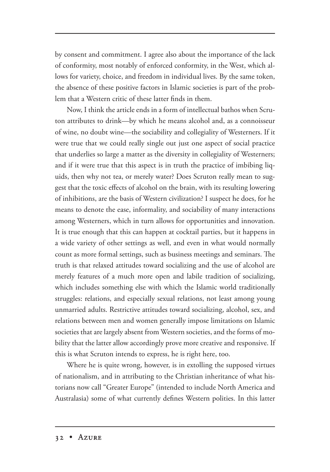by consent and commitment. I agree also about the importance of the lack of conformity, most notably of enforced conformity, in the West, which allows for variety, choice, and freedom in individual lives. By the same token, the absence of these positive factors in Islamic societies is part of the problem that a Western critic of these latter finds in them.

Now, I think the article ends in a form of intellectual bathos when Scruton attributes to drink—by which he means alcohol and, as a connoisseur of wine, no doubt wine—the sociability and collegiality of Westerners. If it were true that we could really single out just one aspect of social practice that underlies so large a matter as the diversity in collegiality of Westerners; and if it were true that this aspect is in truth the practice of imbibing liquids, then why not tea, or merely water? Does Scruton really mean to suggest that the toxic effects of alcohol on the brain, with its resulting lowering of inhibitions, are the basis of Western civilization? I suspect he does, for he means to denote the ease, informality, and sociability of many interactions among Westerners, which in turn allows for opportunities and innovation. It is true enough that this can happen at cocktail parties, but it happens in a wide variety of other settings as well, and even in what would normally count as more formal settings, such as business meetings and seminars. The truth is that relaxed attitudes toward socializing and the use of alcohol are merely features of a much more open and labile tradition of socializing, which includes something else with which the Islamic world traditionally struggles: relations, and especially sexual relations, not least among young unmarried adults. Restrictive attitudes toward socializing, alcohol, sex, and relations between men and women generally impose limitations on Islamic societies that are largely absent from Western societies, and the forms of mobility that the latter allow accordingly prove more creative and responsive. If this is what Scruton intends to express, he is right here, too.

Where he is quite wrong, however, is in extolling the supposed virtues of nationalism, and in attributing to the Christian inheritance of what historians now call "Greater Europe" (intended to include North America and Australasia) some of what currently defines Western polities. In this latter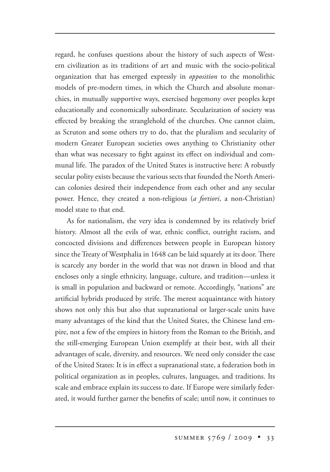regard, he confuses questions about the history of such aspects of Western civilization as its traditions of art and music with the socio-political organization that has emerged expressly in *opposition* to the monolithic models of pre-modern times, in which the Church and absolute monarchies, in mutually supportive ways, exercised hegemony over peoples kept educationally and economically subordinate. Secularization of society was effected by breaking the stranglehold of the churches. One cannot claim, as Scruton and some others try to do, that the pluralism and secularity of modern Greater European societies owes anything to Christianity other than what was necessary to fight against its effect on individual and communal life. The paradox of the United States is instructive here: A robustly secular polity exists because the various sects that founded the North American colonies desired their independence from each other and any secular power. Hence, they created a non-religious (*a fortiori*, a non-Christian) model state to that end.

As for nationalism, the very idea is condemned by its relatively brief history. Almost all the evils of war, ethnic conflict, outright racism, and concocted divisions and differences between people in European history since the Treaty of Westphalia in 1648 can be laid squarely at its door. There is scarcely any border in the world that was not drawn in blood and that encloses only a single ethnicity, language, culture, and tradition—unless it is small in population and backward or remote. Accordingly, "nations" are artificial hybrids produced by strife. The merest acquaintance with history shows not only this but also that supranational or larger-scale units have many advantages of the kind that the United States, the Chinese land empire, not a few of the empires in history from the Roman to the British, and the still-emerging European Union exemplify at their best, with all their advantages of scale, diversity, and resources. We need only consider the case of the United States: It is in effect a supranational state, a federation both in political organization as in peoples, cultures, languages, and traditions. Its scale and embrace explain its success to date. If Europe were similarly federated, it would further garner the benefits of scale; until now, it continues to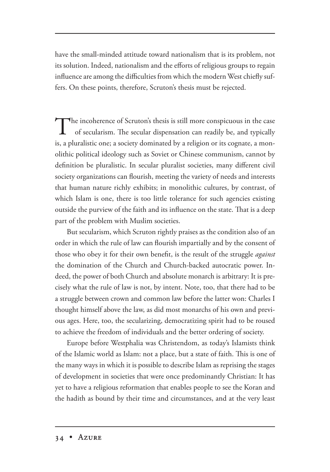have the small-minded attitude toward nationalism that is its problem, not its solution. Indeed, nationalism and the efforts of religious groups to regain influence are among the difficulties from which the modern West chiefly suffers. On these points, therefore, Scruton's thesis must be rejected.

The incoherence of Scruton's thesis is still more conspicuous in the case of secularism. The secular dispensation can readily be, and typically is, a pluralistic one; a society dominated by a religion or its cognate, a monolithic political ideology such as Soviet or Chinese communism, cannot by definition be pluralistic. In secular pluralist societies, many different civil society organizations can flourish, meeting the variety of needs and interests that human nature richly exhibits; in monolithic cultures, by contrast, of which Islam is one, there is too little tolerance for such agencies existing outside the purview of the faith and its influence on the state. That is a deep part of the problem with Muslim societies.

But secularism, which Scruton rightly praises as the condition also of an order in which the rule of law can flourish impartially and by the consent of those who obey it for their own benefit, is the result of the struggle *against* the domination of the Church and Church-backed autocratic power. Indeed, the power of both Church and absolute monarch is arbitrary: It is precisely what the rule of law is not, by intent. Note, too, that there had to be a struggle between crown and common law before the latter won: Charles I thought himself above the law, as did most monarchs of his own and previous ages. Here, too, the secularizing, democratizing spirit had to be roused to achieve the freedom of individuals and the better ordering of society.

Europe before Westphalia was Christendom, as today's Islamists think of the Islamic world as Islam: not a place, but a state of faith. This is one of the many ways in which it is possible to describe Islam as reprising the stages of development in societies that were once predominantly Christian: It has yet to have a religious reformation that enables people to see the Koran and the hadith as bound by their time and circumstances, and at the very least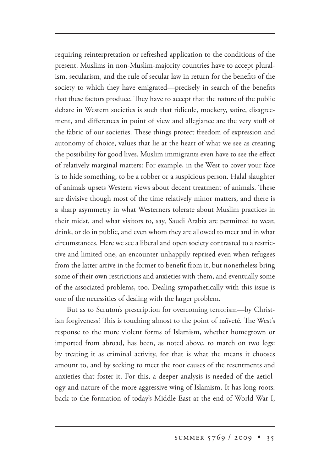requiring reinterpretation or refreshed application to the conditions of the present. Muslims in non-Muslim-majority countries have to accept pluralism, secularism, and the rule of secular law in return for the benefits of the society to which they have emigrated—precisely in search of the benefits that these factors produce. They have to accept that the nature of the public debate in Western societies is such that ridicule, mockery, satire, disagreement, and differences in point of view and allegiance are the very stuff of the fabric of our societies. These things protect freedom of expression and autonomy of choice, values that lie at the heart of what we see as creating the possibility for good lives. Muslim immigrants even have to see the effect of relatively marginal matters: For example, in the West to cover your face is to hide something, to be a robber or a suspicious person. Halal slaughter of animals upsets Western views about decent treatment of animals. These are divisive though most of the time relatively minor matters, and there is a sharp asymmetry in what Westerners tolerate about Muslim practices in their midst, and what visitors to, say, Saudi Arabia are permitted to wear, drink, or do in public, and even whom they are allowed to meet and in what circumstances. Here we see a liberal and open society contrasted to a restrictive and limited one, an encounter unhappily reprised even when refugees from the latter arrive in the former to benefit from it, but nonetheless bring some of their own restrictions and anxieties with them, and eventually some of the associated problems, too. Dealing sympathetically with this issue is one of the necessities of dealing with the larger problem.

But as to Scruton's prescription for overcoming terrorism—by Christian forgiveness? This is touching almost to the point of naïveté. The West's response to the more violent forms of Islamism, whether homegrown or imported from abroad, has been, as noted above, to march on two legs: by treating it as criminal activity, for that is what the means it chooses amount to, and by seeking to meet the root causes of the resentments and anxieties that foster it. For this, a deeper analysis is needed of the aetiology and nature of the more aggressive wing of Islamism. It has long roots: back to the formation of today's Middle East at the end of World War I,